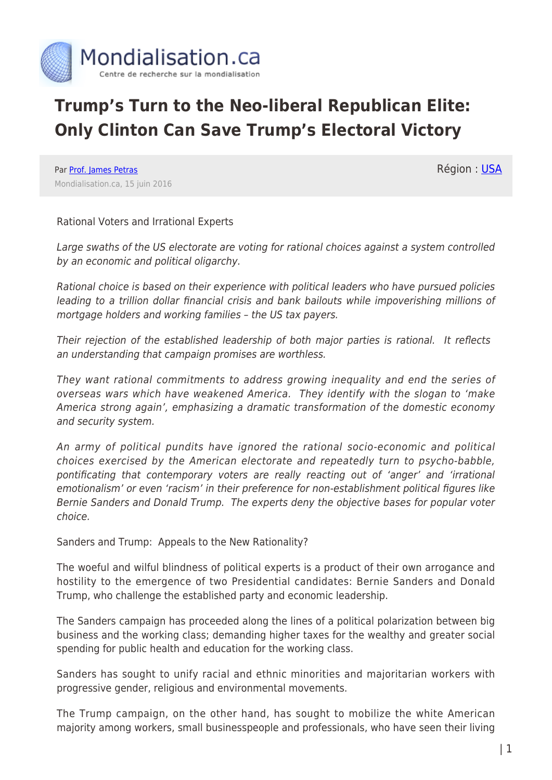

## **Trump's Turn to the Neo-liberal Republican Elite: Only Clinton Can Save Trump's Electoral Victory**

Par [Prof. James Petras](https://www.mondialisation.ca/author/james-petras) Mondialisation.ca, 15 juin 2016 Région : [USA](https://www.mondialisation.ca/region/usa)

Rational Voters and Irrational Experts

Large swaths of the US electorate are voting for rational choices against a system controlled by an economic and political oligarchy.

Rational choice is based on their experience with political leaders who have pursued policies leading to a trillion dollar financial crisis and bank bailouts while impoverishing millions of mortgage holders and working families – the US tax payers.

Their rejection of the established leadership of both major parties is rational. It reflects an understanding that campaign promises are worthless.

They want rational commitments to address growing inequality and end the series of overseas wars which have weakened America. They identify with the slogan to 'make America strong again', emphasizing a dramatic transformation of the domestic economy and security system.

An army of political pundits have ignored the rational socio-economic and political choices exercised by the American electorate and repeatedly turn to psycho-babble, pontificating that contemporary voters are really reacting out of 'anger' and 'irrational emotionalism' or even 'racism' in their preference for non-establishment political figures like Bernie Sanders and Donald Trump. The experts deny the objective bases for popular voter choice.

Sanders and Trump: Appeals to the New Rationality?

The woeful and wilful blindness of political experts is a product of their own arrogance and hostility to the emergence of two Presidential candidates: Bernie Sanders and Donald Trump, who challenge the established party and economic leadership.

The Sanders campaign has proceeded along the lines of a political polarization between big business and the working class; demanding higher taxes for the wealthy and greater social spending for public health and education for the working class.

Sanders has sought to unify racial and ethnic minorities and majoritarian workers with progressive gender, religious and environmental movements.

The Trump campaign, on the other hand, has sought to mobilize the white American majority among workers, small businesspeople and professionals, who have seen their living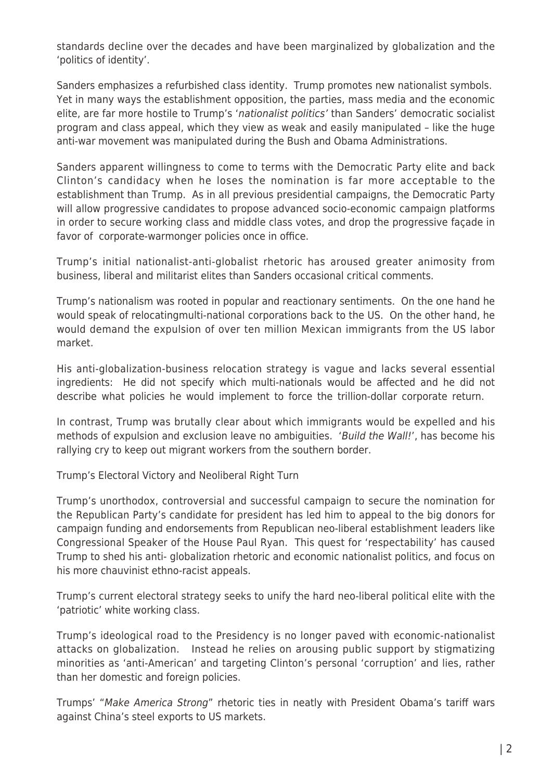standards decline over the decades and have been marginalized by globalization and the 'politics of identity'.

Sanders emphasizes a refurbished class identity. Trump promotes new nationalist symbols. Yet in many ways the establishment opposition, the parties, mass media and the economic elite, are far more hostile to Trump's 'nationalist politics' than Sanders' democratic socialist program and class appeal, which they view as weak and easily manipulated – like the huge anti-war movement was manipulated during the Bush and Obama Administrations.

Sanders apparent willingness to come to terms with the Democratic Party elite and back Clinton's candidacy when he loses the nomination is far more acceptable to the establishment than Trump. As in all previous presidential campaigns, the Democratic Party will allow progressive candidates to propose advanced socio-economic campaign platforms in order to secure working class and middle class votes, and drop the progressive façade in favor of corporate-warmonger policies once in office.

Trump's initial nationalist-anti-globalist rhetoric has aroused greater animosity from business, liberal and militarist elites than Sanders occasional critical comments.

Trump's nationalism was rooted in popular and reactionary sentiments. On the one hand he would speak of relocatingmulti-national corporations back to the US. On the other hand, he would demand the expulsion of over ten million Mexican immigrants from the US labor market.

His anti-globalization-business relocation strategy is vague and lacks several essential ingredients: He did not specify which multi-nationals would be affected and he did not describe what policies he would implement to force the trillion-dollar corporate return.

In contrast, Trump was brutally clear about which immigrants would be expelled and his methods of expulsion and exclusion leave no ambiguities. 'Build the Wall!', has become his rallying cry to keep out migrant workers from the southern border.

Trump's Electoral Victory and Neoliberal Right Turn

Trump's unorthodox, controversial and successful campaign to secure the nomination for the Republican Party's candidate for president has led him to appeal to the big donors for campaign funding and endorsements from Republican neo-liberal establishment leaders like Congressional Speaker of the House Paul Ryan. This quest for 'respectability' has caused Trump to shed his anti- globalization rhetoric and economic nationalist politics, and focus on his more chauvinist ethno-racist appeals.

Trump's current electoral strategy seeks to unify the hard neo-liberal political elite with the 'patriotic' white working class.

Trump's ideological road to the Presidency is no longer paved with economic-nationalist attacks on globalization. Instead he relies on arousing public support by stigmatizing minorities as 'anti-American' and targeting Clinton's personal 'corruption' and lies, rather than her domestic and foreign policies.

Trumps' "Make America Strong" rhetoric ties in neatly with President Obama's tariff wars against China's steel exports to US markets.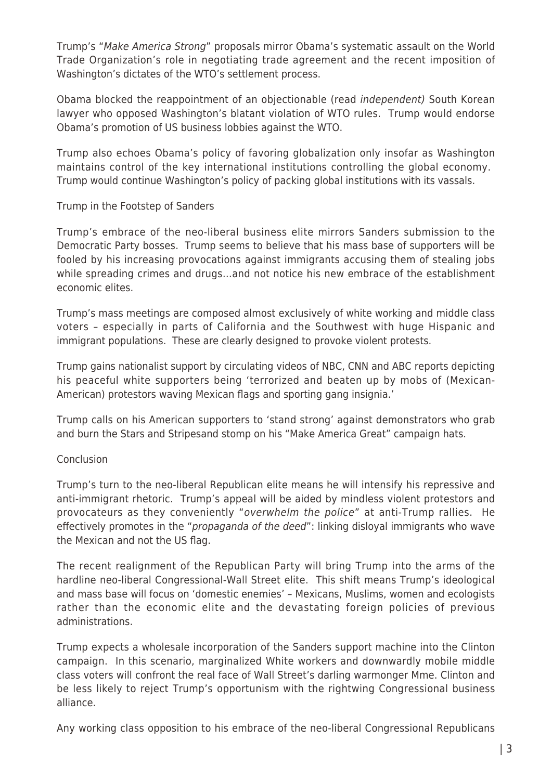Trump's "Make America Strong" proposals mirror Obama's systematic assault on the World Trade Organization's role in negotiating trade agreement and the recent imposition of Washington's dictates of the WTO's settlement process.

Obama blocked the reappointment of an objectionable (read independent) South Korean lawyer who opposed Washington's blatant violation of WTO rules. Trump would endorse Obama's promotion of US business lobbies against the WTO.

Trump also echoes Obama's policy of favoring globalization only insofar as Washington maintains control of the key international institutions controlling the global economy. Trump would continue Washington's policy of packing global institutions with its vassals.

## Trump in the Footstep of Sanders

Trump's embrace of the neo-liberal business elite mirrors Sanders submission to the Democratic Party bosses. Trump seems to believe that his mass base of supporters will be fooled by his increasing provocations against immigrants accusing them of stealing jobs while spreading crimes and drugs…and not notice his new embrace of the establishment economic elites.

Trump's mass meetings are composed almost exclusively of white working and middle class voters – especially in parts of California and the Southwest with huge Hispanic and immigrant populations. These are clearly designed to provoke violent protests.

Trump gains nationalist support by circulating videos of NBC, CNN and ABC reports depicting his peaceful white supporters being 'terrorized and beaten up by mobs of (Mexican-American) protestors waving Mexican flags and sporting gang insignia.'

Trump calls on his American supporters to 'stand strong' against demonstrators who grab and burn the Stars and Stripesand stomp on his "Make America Great" campaign hats.

## Conclusion

Trump's turn to the neo-liberal Republican elite means he will intensify his repressive and anti-immigrant rhetoric. Trump's appeal will be aided by mindless violent protestors and provocateurs as they conveniently "overwhelm the police" at anti-Trump rallies. He effectively promotes in the "*propaganda of the deed*": linking disloyal immigrants who wave the Mexican and not the US flag.

The recent realignment of the Republican Party will bring Trump into the arms of the hardline neo-liberal Congressional-Wall Street elite. This shift means Trump's ideological and mass base will focus on 'domestic enemies' – Mexicans, Muslims, women and ecologists rather than the economic elite and the devastating foreign policies of previous administrations.

Trump expects a wholesale incorporation of the Sanders support machine into the Clinton campaign. In this scenario, marginalized White workers and downwardly mobile middle class voters will confront the real face of Wall Street's darling warmonger Mme. Clinton and be less likely to reject Trump's opportunism with the rightwing Congressional business alliance.

Any working class opposition to his embrace of the neo-liberal Congressional Republicans